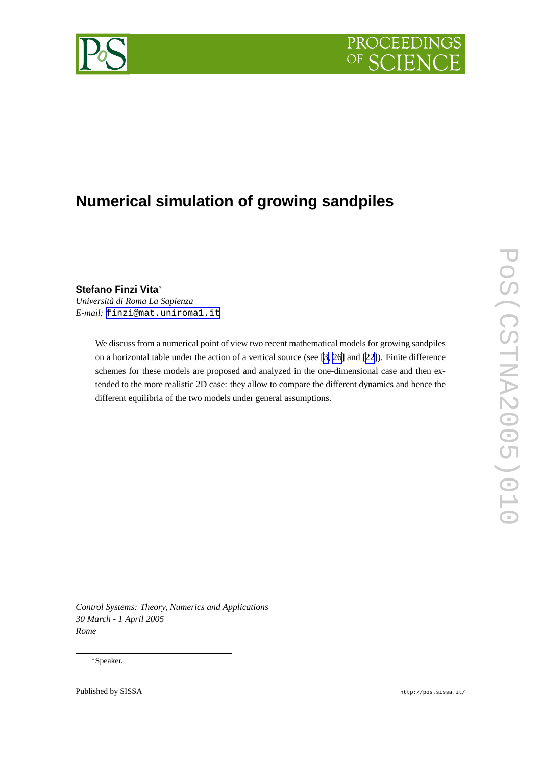



# **Numerical simulation of growing sandpiles**

**Stefano Finzi Vita**∗

*Università di Roma La Sapienza E-mail:* [finzi@mat.uniroma1.it](mailto:finzi@mat.uniroma1.it)

> We discuss from a numerical point of view two recent mathematical models for growing sandpiles on a horizontal table under the action of a vertical source (see [\[3,](#page-13-0) [26\]](#page-15-0) and [\[22\]](#page-15-0)). Finite difference schemes for these models are proposed and analyzed in the one-dimensional case and then extended to the more realistic 2D case: they allow to compare the different dynamics and hence the different equilibria of the two models under general assumptions.

*Control Systems: Theory, Numerics and Applications 30 March - 1 April 2005 Rome*

∗Speaker.

Published by SISSA http://pos.sissa.it/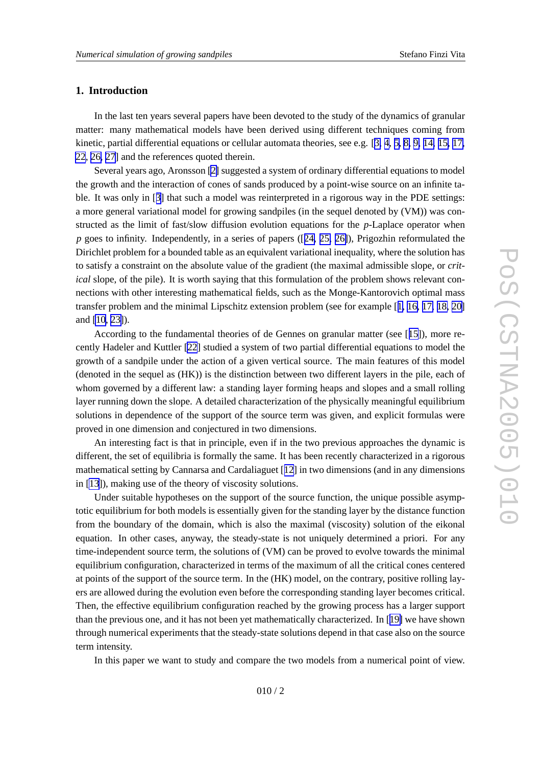# **1. Introduction**

In the last ten years several papers have been devoted to the study of the dynamics of granular matter: man y mathematical models ha v e been deri ved using different techniques coming from kinetic, partial differential equations or cellular automata theories, see e.g. [[3](#page-13-0), [4](#page-14-0), [5](#page-14-0), [8](#page-14-0), [9](#page-14-0), [14](#page-15-0), [15](#page-15-0), [17](#page-15-0), [22](#page-15-0) , [26](#page-15-0) , [27](#page-15-0) ] and the references quoted therein.

Se veral years ago, Aronsson [[2](#page-13-0) ] suggested a system of ordinary differential equations to model the growth and the interaction of cones of sands produced by a point-wise source on an infinite table. It was only in [[3\]](#page-13-0) that such a model was reinterpreted in a rigorous way in the PDE settings: a more general variational model for growing sandpiles (in the sequel denoted by (VM)) was constructed as the limit of fast/slow diffusion evolution equations for the *p*-Laplace operator when *p* goes to infinity. Independently, in a series of papers ([[24,](#page-15-0) [25,](#page-15-0) [26\]](#page-15-0)), Prigozhin reformulated the Dirichlet problem for a bounded table as an equivalent variational inequality, where the solution has to satisfy a constraint on the absolute value of the gradient (the maximal admissible slope, or *critical* slope, of the pile). It is worth saying that this formulation of the problem shows relevant connections with other interesting mathematical fields, such as the Monge-Kantorovich optimal mass transfer problem and the minimal Lipschitz extension problem (see for example [[1](#page-13-0) , [16](#page-15-0) , [17](#page-15-0) , [18](#page-15-0) , [20](#page-15-0) ] and [\[10](#page-15-0) , [23\]](#page-15-0)).

According to the fundamental theories of de Gennes on granular matter (see [[15](#page-15-0)]), more recently Hadeler and Kuttler [\[22](#page-15-0)] studied a system of two partial differential equations to model the growth of a sandpile under the action of a gi ven vertical source. The main features of this model (denoted in the sequel as (HK)) is the distinction between tw o different layers in the pile, each of whom go verned by a different law: a standing layer forming heaps and slopes and a small rolling layer running down the slope. A detailed characterization of the physically meaningful equilibrium solutions in dependence of the support of the source term was given, and explicit formulas were pro ved in one dimension and conjectured in tw o dimensions.

An interesting fact is that in principle, e ven if in the tw o previous approaches the dynamic is different, the set of equilibria is formally the same. It has been recently characterized in a rigorous mathematical setting by Cannarsa and Cardaliaguet [[12](#page-15-0) ] in tw o dimensions (and in an y dimensions in [\[13](#page-15-0)]), making use of the theory of viscosity solutions.

Under suitable hypotheses on the support of the source function, the unique possible asymptotic equilibrium for both models is essentially given for the standing layer by the distance function from the boundary of the domain, which is also the maximal (viscosity) solution of the eikonal equation. In other cases, anyway, the steady-state is not uniquely determined a priori. For any time-independent source term, the solutions of (VM) can be proved to evolve towards the minimal equilibrium configuration, characterized in terms of the maximum of all the critical cones centered at points of the support of the source term. In the (HK) model, on the contrary, positive rolling layers are allowed during the evolution even before the corresponding standing layer becomes critical. Then, the effective equilibrium configuration reached by the growing process has a larger support than the previous one, and it has not been yet mathematically characterized. In [[19](#page-15-0)] we have shown through numerical experiments that the steady-state solutions depend in that case also on the source term intensity .

In this paper we want to study and compare the two models from a numerical point of view.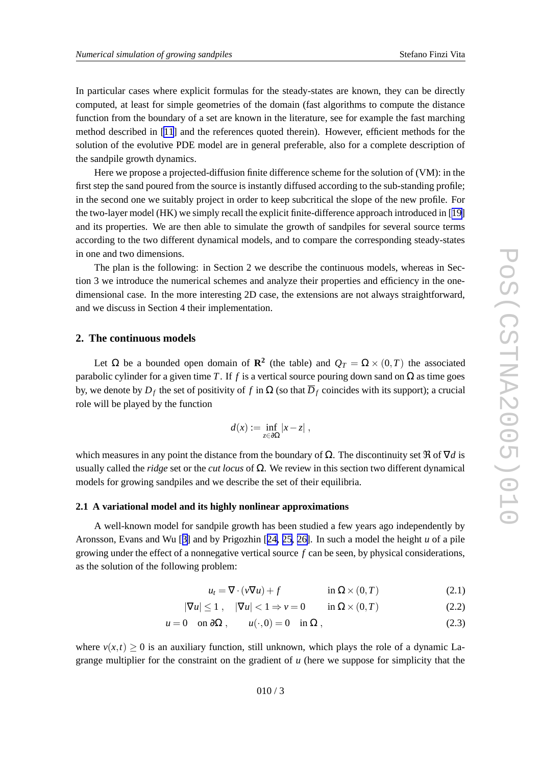<span id="page-2-0"></span>In particular cases where explicit formulas for the steady-states are known, they can be directly computed, at least for simple geometries of the domain (fast algorithms to compute the distance function from the boundary of a set are known in the literature, see for example the fast marching method described in [\[11](#page-15-0) ] and the references quoted therein). Howe ver , efficient methods for the solution of the evolutive PDE model are in general preferable, also for a complete description of the sandpile growth dynamics.

Here we propose a projected-diffusion finite difference scheme for the solution of (VM): in the first step the sand poured from the source is instantly diffused according to the sub-standing profile; in the second one we suitably project in order to keep subcritical the slope of the ne w profile. For the two-layer model (HK) we simply recall the explicit finite-difference approach introduced in [[19](#page-15-0) ] and its properties. We are then able to simulate the growth of sandpiles for se veral source terms according to the tw o different dynamical models, and to compare the corresponding steady-states in one and tw o dimensions.

The plan is the following: in Section 2 we describe the continuous models, whereas in Section 3 we introduce the numerical schemes and analyze their properties and efficiency in the onedimensional case. In the more interesting 2D case, the extensions are not always straightforward, and we discuss in Section 4 their implementation.

## **2. The continuous models**

Let  $\Omega$  be a bounded open domain of **R**<sup>2</sup> (the table) and  $Q_T = \Omega \times (0,T)$  the associated parabolic cylinder for a given time T. If f is a vertical source pouring down sand on  $\Omega$  as time goes by, we denote by  $D_f$  the set of positivity of f in  $\Omega$  (so that  $\overline{D}_f$  coincides with its support); a crucial role will be played by the function

$$
d(x) := \inf_{z \in \partial \Omega} |x - z| ,
$$

which measures in any point the distance from the boundary of  $\Omega$ . The discontinuity set  $\Re$  of  $\nabla d$  is usually called the *ridge* set or the *cut locus* of  $\Omega$ . We review in this section two different dynamical models for growing sandpiles and we describe the set of their equilibria.

## **2.1 A variational model and its highly nonlinear approximations**

A well-known model for sandpile growth has been studied a fe w years ago independently by Aronsson, Evans and Wu [[3](#page-13-0) ] and by Prigozhin [[24](#page-15-0) , [25](#page-15-0) , [26\]](#page-15-0). In such a model the height *u* of a pile growing under the effect of a nonnegative vertical source f can be seen, by physical considerations, as the solution of the following problem:

$$
u_t = \nabla \cdot (v \nabla u) + f \qquad \text{in } \Omega \times (0, T) \tag{2.1}
$$

$$
|\nabla u| \le 1 , \quad |\nabla u| < 1 \Rightarrow v = 0 \qquad \text{in } \Omega \times (0, T) \tag{2.2}
$$

$$
u = 0 \quad \text{on } \partial\Omega \;, \qquad u(\cdot, 0) = 0 \quad \text{in } \Omega \;, \tag{2.3}
$$

where  $v(x,t) \ge 0$  is an auxiliary function, still unknown, which plays the role of a dynamic Lagrange multiplier for the constraint on the gradient of *u* (here we suppose for simplicity that the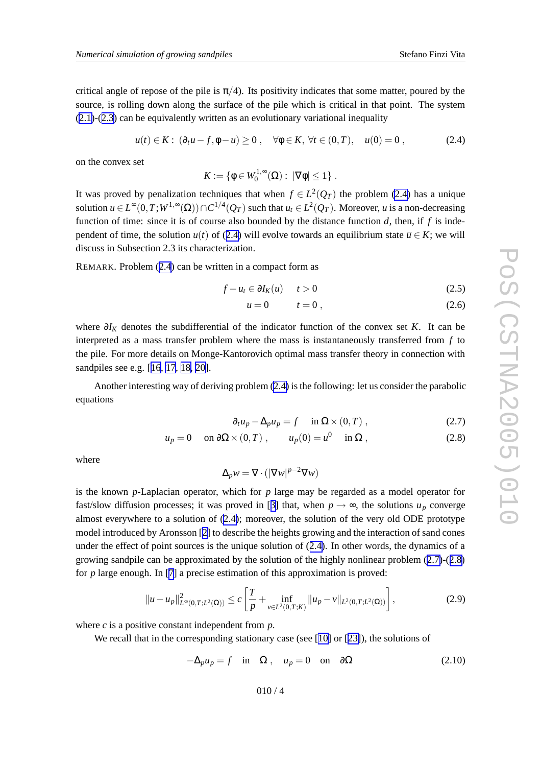<span id="page-3-0"></span>critical angle of repose of the pile is  $\pi/4$ ). Its positivity indicates that some matter, poured by the source, is rolling down along the surface of the pile which is critical in that point. The system ([2.1\)](#page-2-0)-([2.3](#page-2-0) ) can be equi valently written as an e volutionary variational inequality

$$
u(t) \in K: (\partial_t u - f, \phi - u) \ge 0, \quad \forall \phi \in K, \forall t \in (0, T), \quad u(0) = 0,
$$
 (2.4)

on the convex set

$$
K:=\{\phi\in W_0^{1,\infty}(\Omega): |\nabla\phi|\leq 1\}.
$$

It was proved by penalization techniques that when  $f \in L^2(Q_T)$  the problem (2.4) has a unique solution  $u \in L^{\infty}(0,T;W^{1,\infty}(\Omega)) \cap C^{1/4}(Q_T)$  such that  $u_t \in L^2(Q_T)$ . Moreover, *u* is a non-decreasing function of time: since it is of course also bounded by the distance function d, then, if f is independent of time, the solution  $u(t)$  of (2.4) will evolve towards an equilibrium state  $\overline{u} \in K$ ; we will discuss in Subsection 2.3 its characterization.

REMARK. Problem (2.4) can be written in a compact form as

$$
f - u_t \in \partial I_K(u) \qquad t > 0 \tag{2.5}
$$

$$
u = 0 \qquad t = 0 \tag{2.6}
$$

where  $\partial I_K$  denotes the subdifferential of the indicator function of the convex set K. It can be interpreted as a mass transfer problem where the mass is instantaneously transferred from *f* to the pile. For more details on Monge-Kantorovich optimal mass transfer theory in connection with sandpiles see e.g. [[16](#page-15-0), [17](#page-15-0), [18](#page-15-0), [20\]](#page-15-0).

Another interesting way of deriving problem (2.4 ) isthe following: let us consider the parabolic equations

$$
\partial_t u_p - \Delta_p u_p = f \quad \text{in } \Omega \times (0, T) , \tag{2.7}
$$

$$
u_p = 0 \quad \text{on } \partial\Omega \times (0, T) , \qquad u_p(0) = u^0 \quad \text{in } \Omega ,
$$
 (2.8)

where

$$
\Delta_p w = \nabla \cdot (|\nabla w|^{p-2} \nabla w)
$$

is the known *p*-Laplacian operator , which for *p* large may be re garded as a model operator for fast/slow diffusion processes; it was proved in [[3](#page-13-0)] that, when  $p \rightarrow \infty$ , the solutions  $u_p$  converge almost everywhere to a solution of (2.4); moreover, the solution of the very old ODE prototype model introduced by Aronsson [[2](#page-13-0) ] to describe the heights growing and the interaction of sand cones under the effect of point sources is the unique solution of (2.4). In other words, the dynamics of a growing sandpile can be approximated by the solution of the highly nonlinear problem (2.7)-(2.8 ) for p large enough. In [[7](#page-14-0)] a precise estimation of this approximation is proved:

$$
||u - u_p||_{L^{\infty}(0,T;L^2(\Omega))}^2 \le c \left[ \frac{T}{p} + \inf_{\nu \in L^2(0,T;K)} ||u_p - \nu||_{L^2(0,T;L^2(\Omega))} \right],
$$
\n(2.9)

where  $c$  is a positive constant independent from  $p$ .

We recall that in the corresponding stationary case (see [[10](#page-15-0)] or [[23\]](#page-15-0)), the solutions of

$$
-\Delta_p u_p = f \quad \text{in} \quad \Omega \,, \quad u_p = 0 \quad \text{on} \quad \partial \Omega \tag{2.10}
$$

$$
010/4
$$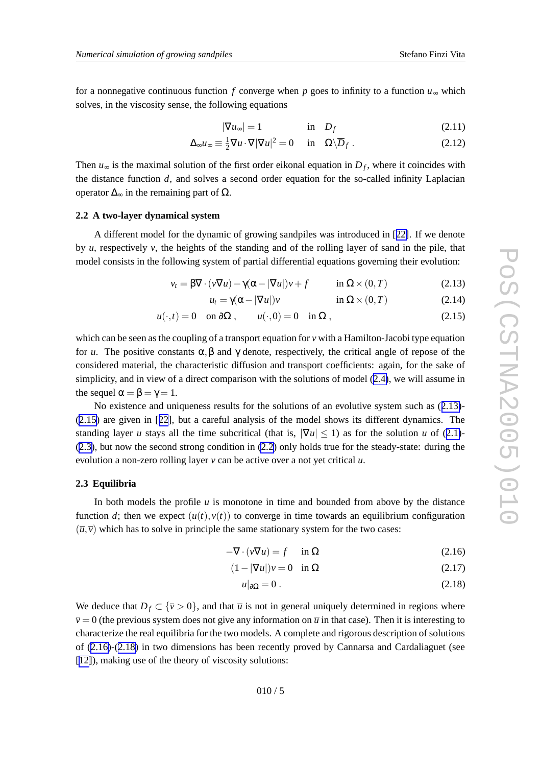<span id="page-4-0"></span>for a nonnegative continuous function f converge when p goes to infinity to a function  $u_{\infty}$  which solves, in the viscosity sense, the following equations

$$
|\nabla u_{\infty}| = 1 \qquad \qquad \text{in} \quad D_f \tag{2.11}
$$

$$
\Delta_{\infty} u_{\infty} \equiv \frac{1}{2} \nabla u \cdot \nabla |\nabla u|^2 = 0 \quad \text{in} \quad \Omega \backslash \overline{D}_f \ . \tag{2.12}
$$

Then  $u_{\infty}$  is the maximal solution of the first order eikonal equation in  $D_f$ , where it coincides with the distance function d, and solves a second order equation for the so-called infinity Laplacian operator  $\Delta_{\infty}$  in the remaining part of  $\Omega$ .

## **2.2 A two-layer dynamical system**

A different model for the dynamic of growing sandpiles was introduced in [[22\]](#page-15-0). If we denote by *u*, respectively *v*, the heights of the standing and of the rolling layer of sand in the pile, that model consists in the following system of partial differential equations go verning their e volution:

$$
v_t = \beta \nabla \cdot (v \nabla u) - \gamma (\alpha - |\nabla u|) v + f \qquad \text{in } \Omega \times (0, T) \tag{2.13}
$$

$$
u_t = \gamma(\alpha - |\nabla u|) v \qquad \text{in } \Omega \times (0, T) \tag{2.14}
$$

$$
u(\cdot,t) = 0 \quad \text{on } \partial\Omega \;, \qquad u(\cdot,0) = 0 \quad \text{in } \Omega \;, \tag{2.15}
$$

which can be seen as the coupling of a transport equation for v with a Hamilton-Jacobi type equation for *u*. The positive constants  $\alpha, \beta$  and  $\gamma$  denote, respectively, the critical angle of repose of the considered material, the characteristic diffusion and transport coefficients: again, for the sak e of simplicity, and in view of a direct comparison with the solutions of model ([2.4\)](#page-3-0), we will assume in the sequel  $\alpha = \beta = \gamma = 1$ .

No existence and uniqueness results for the solutions of an evolutive system such as  $(2.13)$ -(2.15 ) are gi ven in [[22](#page-15-0)], but a careful analysis of the model shows its different dynamics. The standing layer *u* stays all the time subcritical (that is,  $|\nabla u| \le 1$ ) as for the solution *u* of ([2.1\)](#page-2-0)-([2.3\)](#page-2-0), but no w the second strong condition in [\(2.2](#page-2-0) ) only holds true for the steady-state: during the evolution a non-zero rolling layer v can be active over a not yet critical u.

## **2.3 Equilibria**

In both models the profile  $u$  is monotone in time and bounded from above by the distance function d; then we expect  $(u(t), v(t))$  to converge in time towards an equilibrium configuration  $(\overline{u}, \overline{v})$  which has to solve in principle the same stationary system for the two cases:

$$
-\nabla \cdot (\nu \nabla u) = f \quad \text{in } \Omega \tag{2.16}
$$

$$
(1 - |\nabla u|)v = 0 \quad \text{in } \Omega \tag{2.17}
$$

$$
u|_{\partial\Omega} = 0. \tag{2.18}
$$

We deduce that  $D_f \subset {\bar{v}} > 0$ , and that  $\bar{u}$  is not in general uniquely determined in regions where  $\overline{v} = 0$  (the previous system does not give any information on  $\overline{u}$  in that case). Then it is interesting to characterize the real equilibria for the tw o models. A complete and rigorous description of solutions of (2.16)-(2.18 ) in tw o dimensions has been recently pro ved by Cannarsa and Cardaliaguet (see [[12\]](#page-15-0)), making use of the theory of viscosity solutions: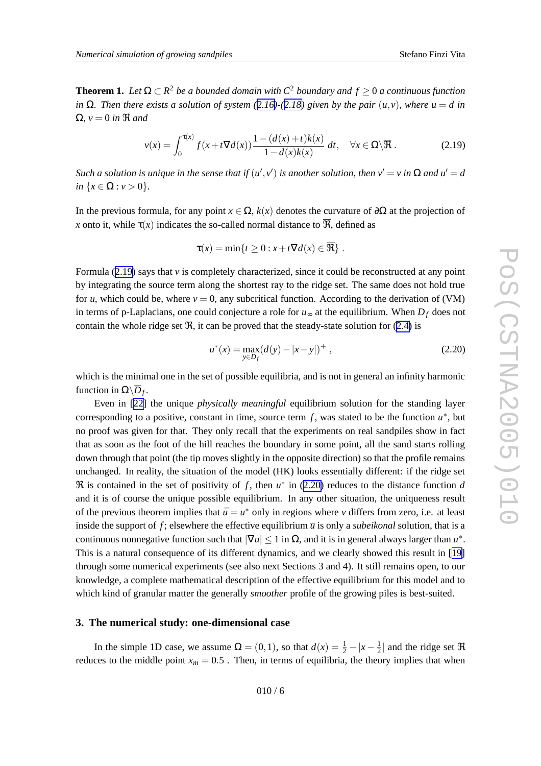<span id="page-5-0"></span>**Theorem 1.** Let  $\Omega \subset R^2$  be a bounded domain with  $C^2$  boundary and  $f \ge 0$  a continuous function in  $\Omega$ . Then there exists a solution of system ([2.16\)](#page-4-0)-([2.18](#page-4-0)) given by the pair  $(u, v)$ , where  $u = d$  in  $Ω, ν = 0$  *in*  $R$  *and*<br>ν

$$
v(x) = \int_0^{\tau(x)} f(x + t \nabla d(x)) \frac{1 - (d(x) + t)k(x)}{1 - d(x)k(x)} dt, \quad \forall x \in \Omega \setminus \overline{\mathfrak{R}}.
$$
 (2.19)

Such a solution is unique in the sense that if  $(u',v')$  is another solution, then  $v' = v$  in  $\Omega$  and  $u' = d$  $in \{x \in \Omega : v > 0\}.$ 

In the previous formula, for any point  $x \in \Omega$ ,  $k(x)$  denotes the curvature of  $\partial\Omega$  at the projection of *x* onto it, while  $\tau(x)$  indicates the so-called normal distance to  $\Re$ , defined as

$$
\tau(x) = \min\{t \ge 0 : x + t\nabla d(x) \in \overline{\mathfrak{R}}\}.
$$

Formula (2.19) says that v is completely characterized, since it could be reconstructed at any point by integrating the source term along the shortest ray to the ridge set. The same does not hold true for  $u$ , which could be, where  $v = 0$ , any subcritical function. According to the derivation of (VM) in terms of p-Laplacians, one could conjecture a role for  $u_{\infty}$  at the equilibrium. When  $D_f$  does not contain the whole ridge set  $\Re$ , it can be proved that the steady-state solution for [\(2.4](#page-3-0)) is

$$
u^*(x) = \max_{y \in D_f} (d(y) - |x - y|)^+ , \qquad (2.20)
$$

which is the minimal one in the set of possible equilibria, and is not in general an infinity harmonic function in  $\Omega \backslash \overline{D}_f$ .

Even in [[22](#page-15-0) ] the unique *physically meaningful* equilibrium solution for the standing layer corresponding to a positive, constant in time, source term  $f$ , was stated to be the function  $u^*$ , but no proof was gi ven for that. The y only recall that the experiments on real sandpiles sho w in fact that as soon as the foot of the hill reaches the boundary in some point, all the sand starts rolling down through that point (the tip moves slightly in the opposite direction) so that the profile remains unchanged. In reality , the situation of the model (HK) looks essentially different: if the ridge set  $\Re$  is contained in the set of positivity of f, then  $u^*$  in (2.20) reduces to the distance function d and it is of course the unique possible equilibrium. In an y other situation, the uniqueness result of the previous theorem implies that  $\bar{u} = u^*$  only in regions where *v* differs from zero, i.e. at least inside the support of f; elsewhere the effective equilibrium  $\overline{u}$  is only a *subeikonal* solution, that is a continuous nonnegative function such that  $|\nabla u| \le 1$  in  $\Omega$ , and it is in general always larger than  $u^*$ . This is a natural consequence of its different dynamics, and we clearly showed this result in [[19](#page-15-0) ] through some numerical experiments (see also next Sections 3 and 4). It still remains open, to our knowledge, a complete mathematical description of the effecti v e equilibrium for this model and to which kind of granular matter the generally *smoother* profile of the growing piles is best-suited.

# **3. The numerical study: one-dimensional case**

In the simple 1D case, we assume  $\Omega = (0, 1)$ , so that  $d(x) = \frac{1}{2} - |x - \frac{1}{2}|$  and the ridge set  $\Re$ reduces to the middle point  $x_m = 0.5$ . Then, in terms of equilibria, the theory implies that when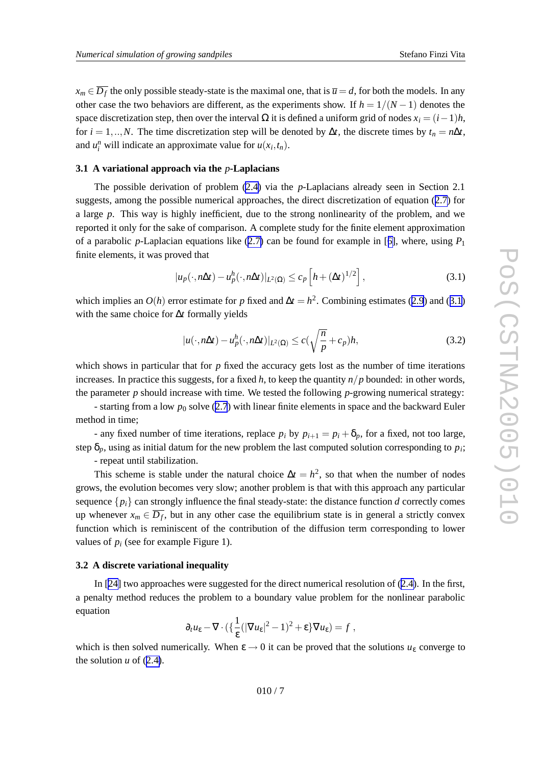$x_m \in \overline{D_f}$  the only possible steady-state is the maximal one, that is  $\overline{u} = d$ , for both the models. In any other case the two behaviors are different, as the experiments show. If  $h = 1/(N-1)$  denotes the space discretization step, then over the interval  $\Omega$  it is defined a uniform grid of nodes  $x_i = (i-1)h$ , for  $i = 1, ..., N$ . The time discretization step will be denoted by  $\Delta t$ , the discrete times by  $t_n = n\Delta t$ , and  $u_i^n$  will indicate an approximate value for  $u(x_i, t_n)$ .

## **3.1 A variational approach via the** *p***-Laplacians**

The possible derivation of problem [\(2.4](#page-3-0)) via the p-Laplacians already seen in Section 2.1 suggests, among the possible numerical approaches, the direct discretization of equation ([2.7](#page-3-0) ) for a large *p* . This way is highly inefficient, due to the strong nonlinearity of the problem, and we reported it only for the sak e of comparison. A complete study for the finite element approximation of a parabolic *p*-Laplacian equations lik e ([2.7](#page-3-0) ) can be found for example in [[6\]](#page-14-0), where, using *P* 1 finite elements, it was proved that

$$
|u_p(\cdot, n\Delta t) - u_p^h(\cdot, n\Delta t)|_{L^2(\Omega)} \le c_p \left[ h + (\Delta t)^{1/2} \right],
$$
\n(3.1)

which implies an  $O(h)$  error estimate for p fixed and  $\Delta t = h^2$ . Combining estimates ([2.9](#page-3-0)) and (3.1) with the same choice for ∆ *t* formally yields

$$
|u(\cdot, n\Delta t) - u_p^h(\cdot, n\Delta t)|_{L^2(\Omega)} \le c\left(\sqrt{\frac{n}{p}} + c_p\right)h,\tag{3.2}
$$

which shows in particular that for p fixed the accuracy gets lost as the number of time iterations increases. In practice this suggests, for a fixed *h* , to keep the quantity *n* / *p* bounded: in other words, the parameter *p* should increase with time. We tested the following *p*-growing numerical strategy:

- starting from a lo w *p* <sup>0</sup> solv e ([2.7](#page-3-0) ) with linear finite elements in space and the backward Euler method in time;

- any fixed number of time iterations, replace  $p_i$  by  $p_{i+1} = p_i + \delta_p$ , for a fixed, not too large, step  $\delta_p$ , using as initial datum for the new problem the last computed solution corresponding to  $p_i$ ;

- repeat until stabilization.

This scheme is stable under the natural choice  $\Delta t = h^2$ , so that when the number of nodes grows, the e volution becomes very slow; another problem is that with this approach an y particular sequence  $\{p_i\}$  can strongly influence the final steady-state: the distance function *d* correctly comes up whenever  $x_m \in \overline{D_f}$ , but in any other case the equilibrium state is in general a strictly convex function which is reminiscent of the contribution of the diffusion term corresponding to lower values of  $p_i$  (see for example Figure 1).

## **3.2 A discrete variational inequality**

In [[24](#page-15-0)] two approaches were suggested for the direct numerical resolution of [\(2.4\)](#page-3-0). In the first, a penalty method reduces the problem to a boundary value problem for the nonlinear parabolic equation

$$
\partial_t u_{\varepsilon} - \nabla \cdot \left( \left\{ \frac{1}{\varepsilon} (|\nabla u_{\varepsilon}|^2 - 1)^2 + \varepsilon \right\} \nabla u_{\varepsilon} \right) = f ,
$$

which is then solved numerically. When  $\varepsilon \to 0$  it can be proved that the solutions  $u_{\varepsilon}$  converge to the solution  $u$  of  $(2.4)$  $(2.4)$ .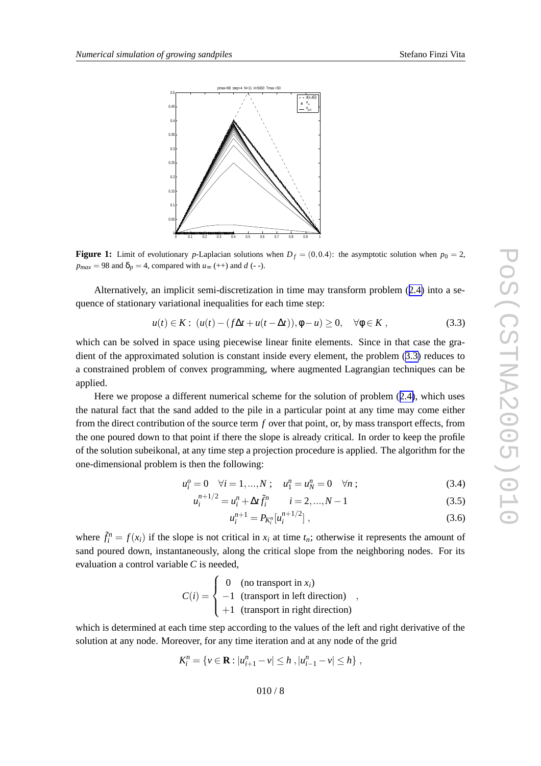<span id="page-7-0"></span>

**Figure 1:** Limit of evolutionary p-Laplacian solutions when  $D_f = (0, 0.4)$ : the asymptotic solution when  $p_0 = 2$ ,  $p_{max} = 98$  and  $\delta_p = 4$ , compared with  $u_{\infty}$  (++) and *d* (--).

Alternati vely , an implicit semi-discretization in time may transform problem ([2.4](#page-3-0) ) into a sequence of stationary variational inequalities for each time step:

$$
u(t) \in K: \ (u(t) - (f\Delta t + u(t - \Delta t)), \phi - u) \ge 0, \quad \forall \phi \in K \,, \tag{3.3}
$$

which can be solved in space using piecewise linear finite elements. Since in that case the gradient of the approximated solution is constant inside every element, the problem (3.3) reduces to a constrained problem of convex programming, where augmented Lagrangian techniques can be applied.

Here we propose a different numerical scheme for the solution of problem ([2.4\)](#page-3-0), which uses the natural fact that the sand added to the pile in a particular point at an y time may come either from the direct contribution of the source term  $f$  over that point, or, by mass transport effects, from the one poured down to that point if there the slope is already critical. In order to keep the profile of the solution subeikonal, at an y time step a projection procedure is applied. The algorithm for the one-dimensional problem is then the following:

$$
u_i^o = 0 \quad \forall i = 1, ..., N \; ; \quad u_1^n = u_N^n = 0 \quad \forall n \; ; \tag{3.4}
$$

$$
u_i^{n+1/2} = u_i^n + \Delta t \tilde{f}_i^n \qquad i = 2, ..., N - 1
$$
\n(3.5)

$$
u_i^{n+1} = P_{K_i^n}[u_i^{n+1/2}], \qquad (3.6)
$$

where  $\tilde{f}_i^n = f(x_i)$  if the slope is not critical in  $x_i$  at time  $t_n$ ; otherwise it represents the amount of sand poured down, instantaneously, along the critical slope from the neighboring nodes. For its e valuation a control variable *C* is needed,

$$
C(i) = \begin{cases} 0 & \text{(no transport in } x_i) \\ -1 & \text{(transport in left direction)} \\ +1 & \text{(transport in right direction)} \end{cases}
$$

which is determined at each time step according to the values of the left and right derivative of the solution at any node. Moreover, for any time iteration and at any node of the grid

$$
K_i^n = \{ v \in \mathbf{R} : |u_{i+1}^n - v| \leq h , |u_{i-1}^n - v| \leq h \},
$$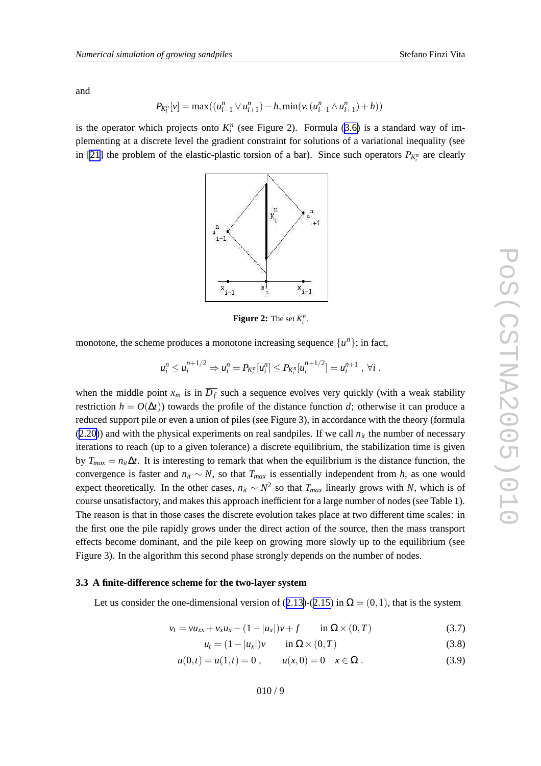<span id="page-8-0"></span>and

$$
P_{K_i^n}[v] = \max((u_{i-1}^n \vee u_{i+1}^n) - h, \min(v, (u_{i-1}^n \wedge u_{i+1}^n) + h))
$$

is the operator which projects onto  $K_i^n$  (see Figure 2). Formula ([3.6](#page-7-0)) is a standard way of implementing at a discrete level the gradient constraint for solutions of a variational inequality (see in [\[21](#page-15-0)] the problem of the elastic-plastic torsion of a bar). Since such operators  $P_{K_i^n}$  are clearly



**Figure 2:** The set  $K_i^n$ .

monotone, the scheme produces a monotone increasing sequence  $\{u^n\}$ ; in fact,

$$
u_i^n \leq u_i^{n+1/2} \Rightarrow u_i^n = P_{K_i^n}[u_i^n] \leq P_{K_i^n}[u_i^{n+1/2}] = u_i^{n+1}, \ \forall i.
$$

when the middle point  $x_m$  is in  $\overline{D_f}$  such a sequence evolves very quickly (with a weak stability restriction  $h = O(\Delta t)$  towards the profile of the distance function d; otherwise it can produce a reduced support pile or even a union of piles (see Figure 3), in accordance with the theory (formula  $(2.20)$  $(2.20)$  $(2.20)$ ) and with the physical experiments on real sandpiles. If we call  $n<sub>it</sub>$  the number of necessary iterations to reach (up to a given tolerance) a discrete equilibrium, the stabilization time is given by  $T_{max} = n_{it} \Delta t$ . It is interesting to remark that when the equilibrium is the distance function, the convergence is faster and  $n_{it} \sim N$ , so that  $T_{max}$  is essentially independent from *h*, as one would expect theoretically. In the other cases,  $n_{it} \sim N^2$  so that  $T_{max}$  linearly grows with N, which is of course unsatisfactory , and makes this approach inefficient for a large number of nodes (see Table 1). The reason is that in those cases the discrete e volution takes place at tw o different time scales: in the first one the pile rapidly grows under the direct action of the source, then the mass transport effects become dominant, and the pile keep on growing more slowly up to the equilibrium (see Figure 3). In the algorithm this second phase strongly depends on the number of nodes.

## **3.3 A finite-difference scheme for the two-layer system**

Let us consider the one-dimensional version of ([2.13\)](#page-4-0)-([2.15](#page-4-0)) in  $\Omega = (0,1)$ , that is the system

$$
v_t = vu_{xx} + v_x u_x - (1 - |u_x|)v + f \qquad \text{in } \Omega \times (0, T) \tag{3.7}
$$

$$
u_t = (1 - |u_x|)v \qquad \text{in } \Omega \times (0, T) \tag{3.8}
$$

$$
u(0,t) = u(1,t) = 0, \qquad u(x,0) = 0 \quad x \in \Omega. \tag{3.9}
$$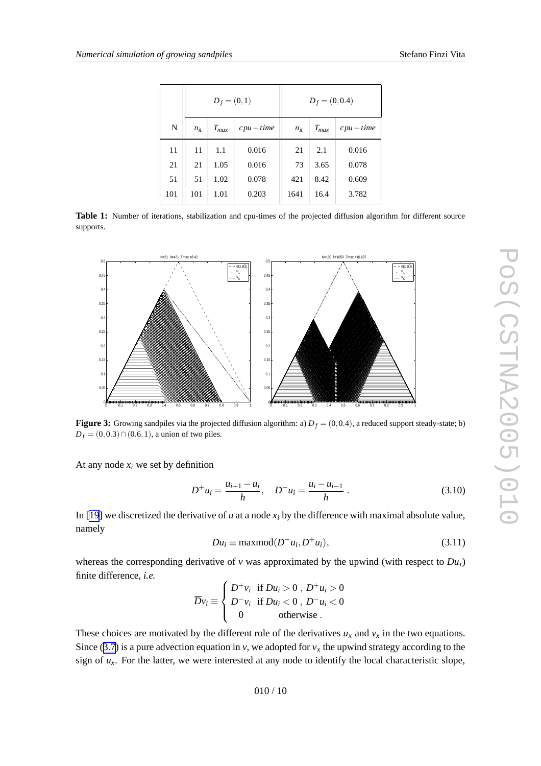<span id="page-9-0"></span>

|     | $D_f = (0,1)$ |           |            | $D_f = (0, 0.4)$ |           |            |
|-----|---------------|-----------|------------|------------------|-----------|------------|
| N   | $n_{it}$      | $T_{max}$ | $cpu-time$ | $n_{it}$         | $T_{max}$ | $cpu-time$ |
| 11  | 11            | 1.1       | 0.016      | 21               | 2.1       | 0.016      |
| 21  | 21            | 1.05      | 0.016      | 73               | 3.65      | 0.078      |
| 51  | 51            | 1.02      | 0.078      | 421              | 8.42      | 0.609      |
| 101 | 101           | 1.01      | 0.203      | 1641             | 16.4      | 3.782      |

**Table 1:** Number of iterations, stabilization and cpu-times of the projected diffusion algorithm for different source supports.



**Figure 3:** Growing sandpiles via the projected diffusion algorithm: a)  $D_f = (0, 0.4)$ , a reduced support steady-state; b)  $D_f = (0, 0.3) \cap (0.6, 1)$ , a union of two piles.

At any node  $x_i$  we set by definition

$$
D^{+}u_{i} = \frac{u_{i+1} - u_{i}}{h}, \quad D^{-}u_{i} = \frac{u_{i} - u_{i-1}}{h} \tag{3.10}
$$

In [\[19](#page-15-0)] we discretized the derivative of  $u$  at a node  $x_i$  by the difference with maximal absolute value, namely

$$
Du_i \equiv \max mod(D^-u_i, D^+u_i), \tag{3.11}
$$

whereas the corresponding derivative of  $v$  was approximated by the upwind (with respect to  $Du_i$ ) finite difference, *i.e .*

$$
\overline{D}v_i \equiv \begin{cases} D^+v_i & \text{if } Du_i > 0 \text{ , } D^+u_i > 0 \\ D^-v_i & \text{if } Du_i < 0 \text{ , } D^-u_i < 0 \\ 0 & \text{otherwise} \end{cases}
$$

These choices are motivated by the different role of the derivatives  $u_x$  and  $v_x$  in the two equations. Since ([3.7](#page-8-0)) is a pure advection equation in  $v$ , we adopted for  $v_x$  the upwind strategy according to the sign of  $u_x$ . For the latter, we were interested at any node to identify the local characteristic slope,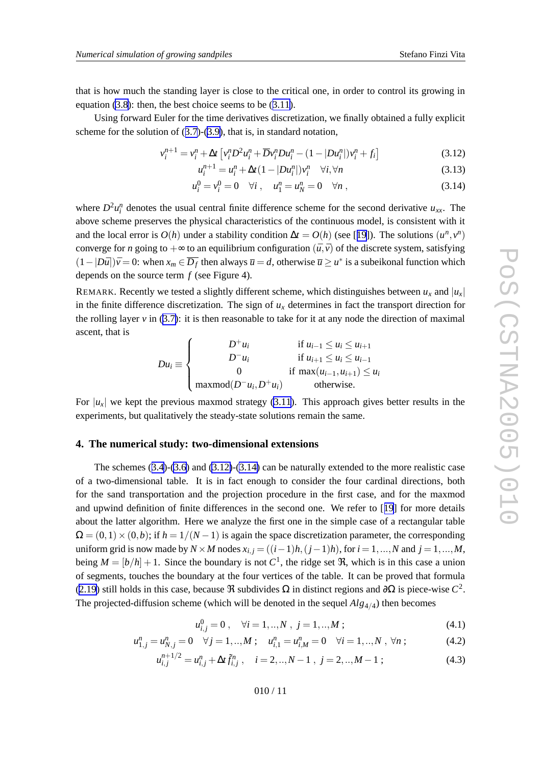<span id="page-10-0"></span>that is ho w much the standing layer is close to the critical one, in order to control its growing in equation [\(3.8\)](#page-8-0): then, the best choice seems to be ([3.11\)](#page-9-0).

Using forward Euler for the time derivatives discretization, we finally obtained a fully explicit scheme for the solution of ([3.7](#page-8-0))-([3.9\)](#page-8-0), that is, in standard notation,

$$
v_i^{n+1} = v_i^n + \Delta t \left[ v_i^n D^2 u_i^n + \overline{D} v_i^n D u_i^n - (1 - |D u_i^n|) v_i^n + f_i \right]
$$
(3.12)

$$
u_i^{n+1} = u_i^n + \Delta t (1 - |Du_i^n|) v_i^n \quad \forall i, \forall n
$$
\n(3.13)

$$
u_i^0 = v_i^0 = 0 \quad \forall i \,, \quad u_1^n = u_N^n = 0 \quad \forall n \,, \tag{3.14}
$$

where  $D^2 u_i^n$  denotes the usual central finite difference scheme for the second derivative  $u_{xx}$ . The abo v e scheme preserves the physical characteristics of the continuous model, is consistent with it and the local error is  $O(h)$  under a stability condition  $\Delta t = O(h)$  (see [[19](#page-15-0)]). The solutions  $(u^n, v^n)$ converge for *n* going to  $+\infty$  to an equilibrium configuration  $(\bar{u}, \bar{v})$  of the discrete system, satisfying  $(1-|D\bar{u}|)\bar{v}=0$ : when  $x_m \in \overline{D_f}$  then always  $\bar{u}=d$ , otherwise  $\bar{u} \ge u^*$  is a subeikonal function which depends on the source term *f* (see Figure 4).

REMARK. Recently we tested a slightly different scheme, which distinguishes between  $u_x$  and  $|u_x|$ in the finite difference discretization. The sign of  $u_x$  determines in fact the transport direction for the rolling layer  $v$  in  $(3.7)$  $(3.7)$ : it is then reasonable to take for it at any node the direction of maximal ascent, that is

$$
Du_i \equiv \begin{cases} D^+u_i & \text{if } u_{i-1} \le u_i \le u_{i+1} \\ D^-u_i & \text{if } u_{i+1} \le u_i \le u_{i-1} \\ 0 & \text{if } \max(u_{i-1}, u_{i+1}) \le u_i \\ \maxmod(D^-u_i, D^+u_i) & \text{otherwise.} \end{cases}
$$

For  $|u_x|$  we kept the previous maxmod strategy [\(3.11](#page-9-0)). This approach gives better results in the experiments, but qualitati vely the steady-state solutions remain the same.

## **4. The numerical study: two-dimensional extensions**

The schemes ([3.4](#page-7-0))-[\(3.6](#page-7-0) ) and (3.12)-(3.14 ) can be naturally extended to the more realistic case of a two-dimensional table. It is in fact enough to consider the four cardinal directions, both for the sand transportation and the projection procedure in the first case, and for the maxmod and upwind definition of finite differences in the second one. We refer to [[19](#page-15-0) ] for more details about the latter algorithm. Here we analyze the first one in the simple case of a rectangular table  $\Omega = (0,1) \times (0,b)$ ; if  $h = 1/(N-1)$  is again the space discretization parameter, the corresponding uniform grid is now made by  $N \times M$  nodes  $x_{i,j} = ((i-1)h, (j-1)h)$ , for  $i = 1, ..., N$  and  $j = 1, ..., M$ , being  $M = [b/h] + 1$ . Since the boundary is not  $C^1$ , the ridge set  $\Re$ , which is in this case a union of segments, touches the boundary at the four vertices of the table. It can be pro ved that formula ([2.19](#page-5-0)) still holds in this case, because  $\Re$  subdivides  $\Omega$  in distinct regions and  $\partial\Omega$  is piece-wise  $C^2$ . The projected-diffusion scheme (which will be denoted in the sequel  $Alg_{4/4}$ ) then becomes

$$
u_{i,j}^0 = 0 \,, \quad \forall i = 1,..,N \,, j = 1,..,M \,; \tag{4.1}
$$

$$
u_{1,j}^n = u_{N,j}^n = 0 \quad \forall j = 1,..,M \; ; \quad u_{i,1}^n = u_{i,M}^n = 0 \quad \forall i = 1,..,N \; , \; \forall n \; ; \tag{4.2}
$$

$$
u_{i,j}^{n+1/2} = u_{i,j}^n + \Delta t \tilde{f}_{i,j}^n, \quad i = 2,..,N-1 \; , \; j = 2,..,M-1 \; ; \tag{4.3}
$$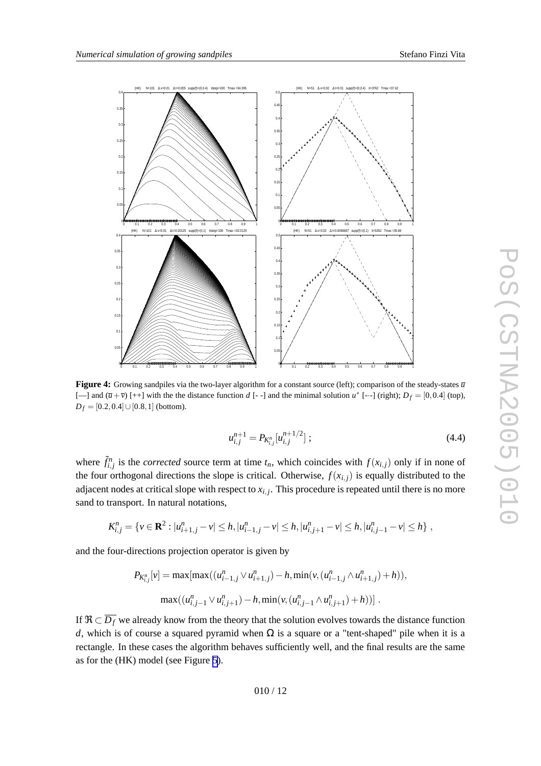<span id="page-11-0"></span>

Figure 4: Growing sandpiles via the two-layer algorithm for a constant source (left); comparison of the steady-states  $\bar{u}$ [--] and  $(\bar{u} + \bar{v})$  [++] with the the distance function d [--] and the minimal solution  $u^*$  [---] (right);  $D_f = [0, 0.4]$  (top),  $D_f = [0.2, 0.4] \cup [0.8, 1]$  (bottom).

$$
u_{i,j}^{n+1} = P_{K_{i,j}^n}[u_{i,j}^{n+1/2}];
$$
\n(4.4)

where  $\tilde{f}^n_{i,j}$  is the *corrected* source term at time  $t_n$ , which coincides with  $f(x_{i,j})$  only if in none of the four orthogonal directions the slope is critical. Otherwise,  $f(x_{i,j})$  is equally distributed to the adjacent nodes at critical slope with respect to  $x_{i,j}$ . This procedure is repeated until there is no more sand to transport. In natural notations,

$$
K_{i,j}^n = \{ v \in \mathbf{R}^2 : |u_{i+1,j}^n - v| \leq h, |u_{i-1,j}^n - v| \leq h, |u_{i,j+1}^n - v| \leq h, |u_{i,j-1}^n - v| \leq h \},\
$$

and the four-directions projection operator is given by

$$
P_{K_{i,j}^n}[v] = \max[\max((u_{i-1,j}^n \vee u_{i+1,j}^n) - h, \min(v, (u_{i-1,j}^n \wedge u_{i+1,j}^n) + h)),
$$

$$
\max((u_{i,j-1}^n \vee u_{i,j+1}^n) - h, \min(v, (u_{i,j-1}^n \wedge u_{i,j+1}^n) + h))].
$$

If  $\Re \subset \overline{D_f}$  we already know from the theory that the solution evolves towards the distance function d, which is of course a squared pyramid when  $\Omega$  is a square or a "tent-shaped" pile when it is a rectangle. In these cases the algorithm beha ves sufficiently well, and the final results are the same as for the (HK) model (see Figure [5](#page-12-0)).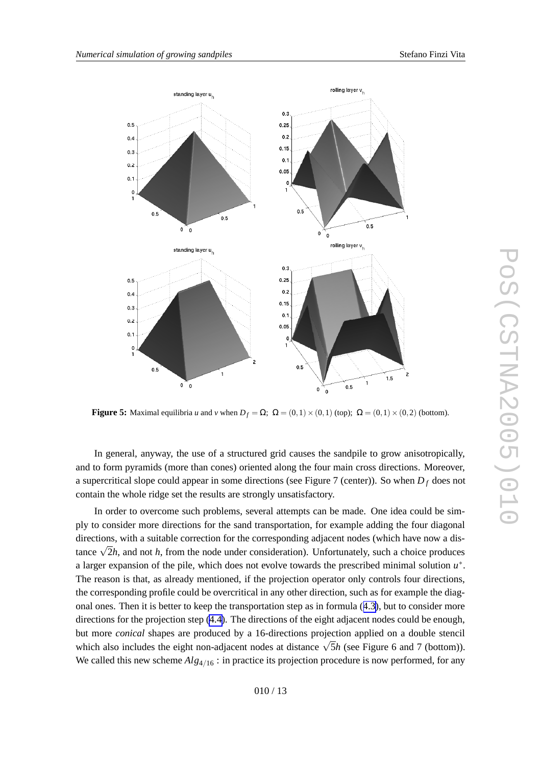

<span id="page-12-0"></span>

**Figure 5:** Maximal equilibria *u* and *v* when  $D_f = \Omega$ ;  $\Omega = (0,1) \times (0,1)$  (top);  $\Omega = (0,1) \times (0,2)$  (bottom).

In general, anyway, the use of a structured grid causes the sandpile to grow anisotropically, and to form pyramids (more than cones) oriented along the four main cross directions. Moreover, a supercritical slope could appear in some directions (see Figure 7 (center)). So when *D <sup>f</sup>* does not contain the whole ridge set the results are strongly unsatisfactory .

In order to overcome such problems, several attempts can be made. One idea could be simply to consider more directions for the sand transportation, for example adding the four diagonal directions, with a suitable correction for the corresponding adjacent nodes (which have now a distance  $\sqrt{2}h$ , and not *h*, from the node under consideration). Unfortunately, such a choice produces a larger expansion of the pile, which does not evolve towards the prescribed minimal solution *u*∗. The reason is that, as already mentioned, if the projection operator only controls four directions, the corresponding profile could be o vercritical in an y other direction, such as for example the diagonal ones. Then it is better to keep the transportation step as in formula ([4.3\)](#page-10-0), but to consider more directions for the projection step [\(4.4\)](#page-11-0). The directions of the eight adjacent nodes could be enough, but more *conical* shapes are produced by a 16-directions projection applied on a double stencil which also includes the eight non-adjacent nodes at distance  $\sqrt{5}h$  (see Figure 6 and 7 (bottom)). We called this new scheme  $Alg_{4/16}$ : in practice its projection procedure is now performed, for any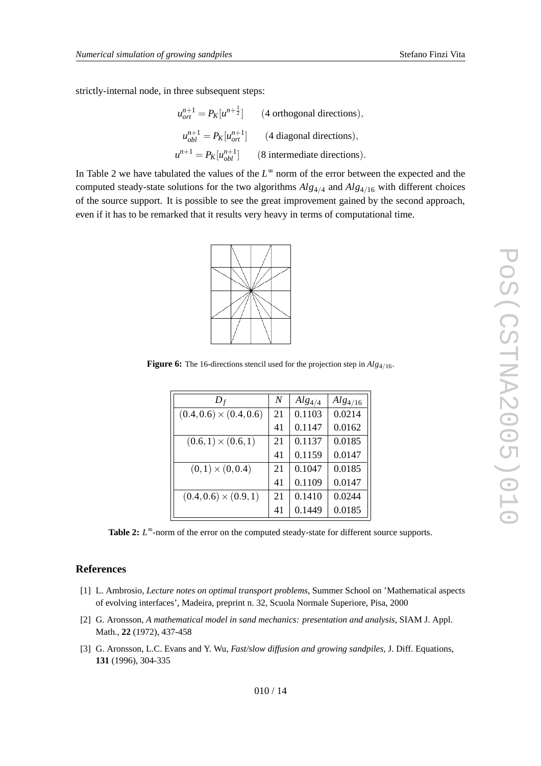<span id="page-13-0"></span>strictly-internal node, in three subsequent steps:

$$
u_{ort}^{n+1} = P_K[u^{n+\frac{1}{2}}]
$$
 (4 orthogonal directions),  

$$
u_{obl}^{n+1} = P_K[u_{ort}^{n+1}]
$$
 (4 diagonal directions),  

$$
u^{n+1} = P_K[u_{obl}^{n+1}]
$$
 (8 intermediate directions).

In Table 2 we have tabulated the values of the L<sup>∞</sup> norm of the error between the expected and the computed steady-state solutions for the two algorithms  $Alg_{4/4}$  and  $Alg_{4/16}$  with different choices of the source support. It is possible to see the great impro vement gained by the second approach, e ven if it has to be remarked that it results very heavy in terms of computational time.



**Figure 6:** The 16-directions stencil used for the projection step in  $Alg_{4/16}$ .

| $D_f$                          | N  | $Alg_{4/4}$ | $Alg_{4/16}$ |
|--------------------------------|----|-------------|--------------|
| $(0.4, 0.6) \times (0.4, 0.6)$ | 21 | 0.1103      | 0.0214       |
|                                | 41 | 0.1147      | 0.0162       |
| $(0.6, 1) \times (0.6, 1)$     | 21 | 0.1137      | 0.0185       |
|                                | 41 | 0.1159      | 0.0147       |
| $(0,1) \times (0,0.4)$         | 21 | 0.1047      | 0.0185       |
|                                | 41 | 0.1109      | 0.0147       |
| $(0.4, 0.6) \times (0.9, 1)$   | 21 | 0.1410      | 0.0244       |
|                                | 41 | 0.1449      | 0.0185       |

Table 2: *L*<sup>∞</sup>-norm of the error on the computed steady-state for different source supports.

## **References**

- [1] L. Ambrosio, *Lecture notes on optimal transport problems* , Summer School on 'Mathematical aspects of e volving interfaces', Madeira, preprint n. 32, Scuola Normale Superiore, Pisa, 2000
- [2] G. Aronsson, *A mathematical model in sand mechanics: presentation and analysis* , SIAM J. Appl. Math., **22** (1972), 437-458
- [3] G. Aronsson, L.C. Evans and Y. Wu, *Fast/slow diffusion and growing sandpiles* , J. Diff. Equations, **131** (1996), 304-335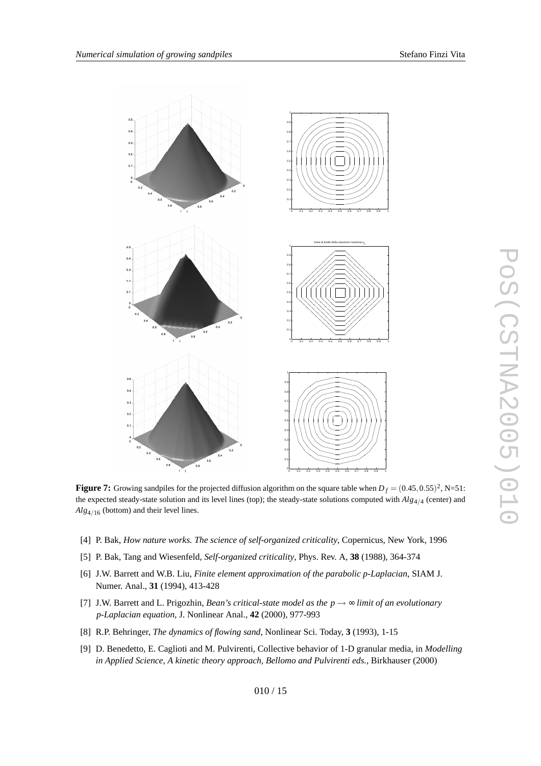<span id="page-14-0"></span>

**Figure 7:** Growing sandpiles for the projected diffusion algorithm on the square table when  $D_f = (0.45, 0.55)^2$ , N=51: the expected steady-state solution and its level lines (top); the steady-state solutions computed with  $Alg_{4/4}$  (center) and  $Alg_{4/16}$  (bottom) and their level lines.

- [4] P. Bak, *How nature works. The science of self-organized criticality* , Copernicus, Ne w York, 1996
- [5] P. Bak, Tang and Wiesenfeld, *Self-organized criticality* , Phys. Re v . A, **38** (1988), 364-374
- [6] J.W. Barrett and W.B. Liu, *Finite element approximation of the parabolic p-Laplacian* , SIAM J. Numer . Anal., **31** (1994), 413-428
- [7] J.W. Barrett and L. Prigozhin, *Bean' s critical-state model as the p* → ∞ *limit of an evolutionary p-Laplacian equation* , J. Nonlinear Anal., **42** (2000), 977-993
- [8] R.P. Behringer , *The dynamics of flowing sand* , Nonlinear Sci. Today , **3** (1993), 1-15
- [9] D. Benedetto, E. Caglioti and M. Pulvirenti, Collecti v e behavior of 1-D granular media, in *Modelling in Applied Science , A kinetic theory approach, Bellomo and Pulvirenti eds.* , Birkhauser (2000)